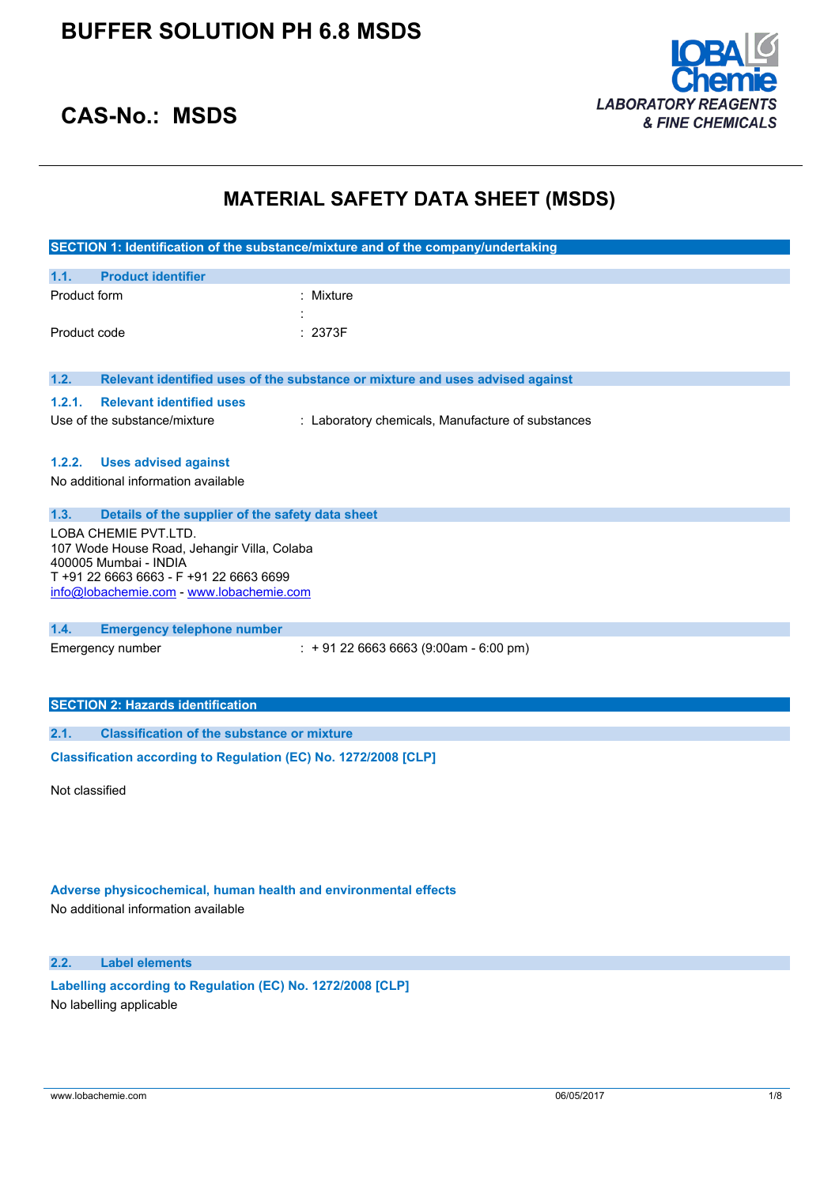

## **CAS-No.: MSDS**

## **MATERIAL SAFETY DATA SHEET (MSDS)**

|                |                                                                                                                                                                                                                                         | SECTION 1: Identification of the substance/mixture and of the company/undertaking |  |
|----------------|-----------------------------------------------------------------------------------------------------------------------------------------------------------------------------------------------------------------------------------------|-----------------------------------------------------------------------------------|--|
| 1.1.           | <b>Product identifier</b>                                                                                                                                                                                                               |                                                                                   |  |
| Product form   |                                                                                                                                                                                                                                         | : Mixture                                                                         |  |
| Product code   |                                                                                                                                                                                                                                         | : 2373F                                                                           |  |
| 1.2.           |                                                                                                                                                                                                                                         | Relevant identified uses of the substance or mixture and uses advised against     |  |
| 1.2.1.         | <b>Relevant identified uses</b><br>Use of the substance/mixture                                                                                                                                                                         | : Laboratory chemicals, Manufacture of substances                                 |  |
| 1.2.2.         | <b>Uses advised against</b><br>No additional information available                                                                                                                                                                      |                                                                                   |  |
| 1.3.           | Details of the supplier of the safety data sheet<br>LOBA CHEMIE PVT.LTD.<br>107 Wode House Road, Jehangir Villa, Colaba<br>400005 Mumbai - INDIA<br>T +91 22 6663 6663 - F +91 22 6663 6699<br>info@lobachemie.com - www.lobachemie.com |                                                                                   |  |
| 1.4.           | <b>Emergency telephone number</b><br>Emergency number                                                                                                                                                                                   | $\div$ + 91 22 6663 6663 (9:00am - 6:00 pm)                                       |  |
|                | <b>SECTION 2: Hazards identification</b>                                                                                                                                                                                                |                                                                                   |  |
| 2.1.           | <b>Classification of the substance or mixture</b>                                                                                                                                                                                       |                                                                                   |  |
|                | Classification according to Regulation (EC) No. 1272/2008 [CLP]                                                                                                                                                                         |                                                                                   |  |
| Not classified |                                                                                                                                                                                                                                         |                                                                                   |  |

**Adverse physicochemical, human health and environmental effects**

No additional information available

**2.2. Label elements**

**Labelling according to** Regulation (EC) No. 1272/2008 [CLP] No labelling applicable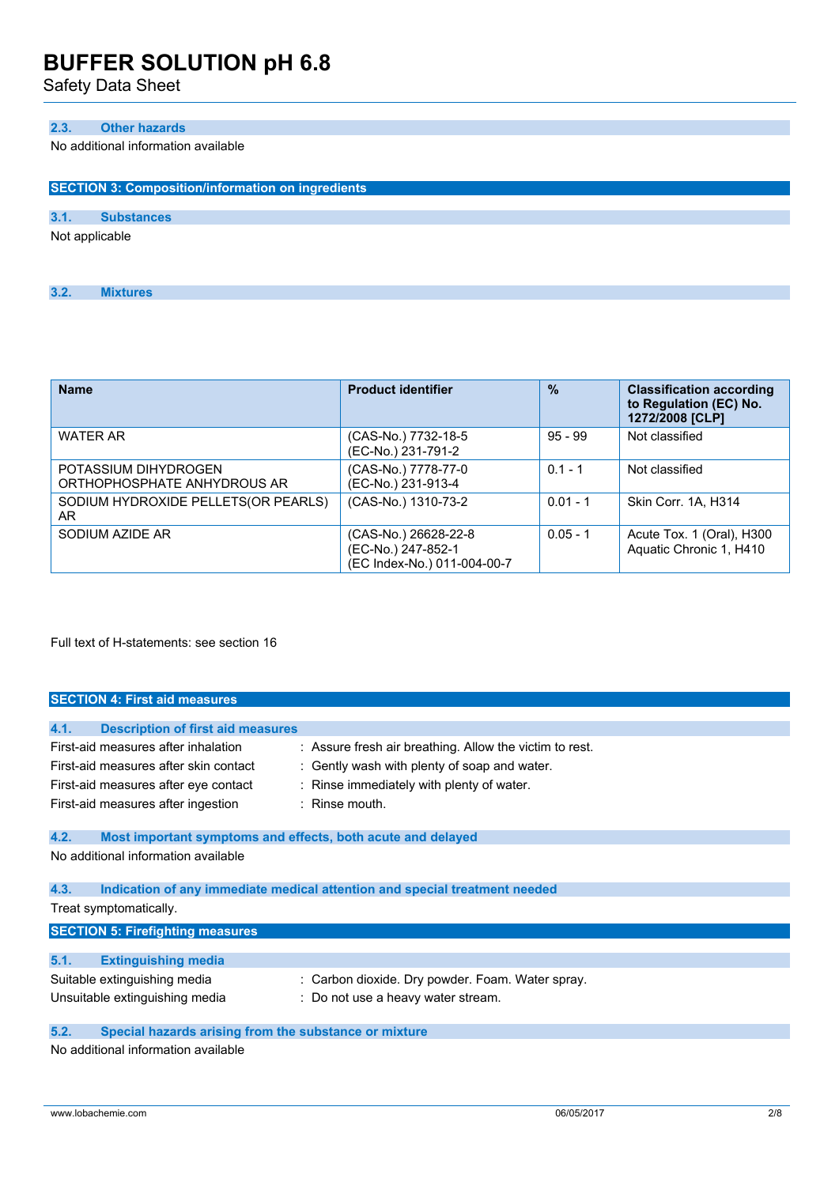Safety Data Sheet

### **2.3. Other hazards**

**3.2. Mixtures**

No additional information available

| <b>SECTION 3: Composition/information on ingredients</b> |  |  |  |  |  |
|----------------------------------------------------------|--|--|--|--|--|
|                                                          |  |  |  |  |  |
|                                                          |  |  |  |  |  |
| Not applicable                                           |  |  |  |  |  |
|                                                          |  |  |  |  |  |

| <b>Name</b>                                         | <b>Product identifier</b>                                                 | $\frac{9}{6}$ | <b>Classification according</b><br>to Regulation (EC) No.<br>1272/2008 [CLP] |
|-----------------------------------------------------|---------------------------------------------------------------------------|---------------|------------------------------------------------------------------------------|
| <b>WATER AR</b>                                     | (CAS-No.) 7732-18-5<br>(EC-No.) 231-791-2                                 | $95 - 99$     | Not classified                                                               |
| POTASSIUM DIHYDROGEN<br>ORTHOPHOSPHATE ANHYDROUS AR | (CAS-No.) 7778-77-0<br>(EC-No.) 231-913-4                                 | $0.1 - 1$     | Not classified                                                               |
| SODIUM HYDROXIDE PELLETS(OR PEARLS)<br>AR.          | (CAS-No.) 1310-73-2                                                       | $0.01 - 1$    | Skin Corr. 1A. H314                                                          |
| SODIUM AZIDE AR                                     | (CAS-No.) 26628-22-8<br>(EC-No.) 247-852-1<br>(EC Index-No.) 011-004-00-7 | $0.05 - 1$    | Acute Tox. 1 (Oral), H300<br>Aquatic Chronic 1, H410                         |

Full text of H-statements: see section 16

|      | <b>SECTION 4: First aid measures</b>                        |                                                                            |  |
|------|-------------------------------------------------------------|----------------------------------------------------------------------------|--|
|      |                                                             |                                                                            |  |
| 4.1. | <b>Description of first aid measures</b>                    |                                                                            |  |
|      | First-aid measures after inhalation                         | : Assure fresh air breathing. Allow the victim to rest.                    |  |
|      | First-aid measures after skin contact                       | : Gently wash with plenty of soap and water.                               |  |
|      | First-aid measures after eye contact                        | : Rinse immediately with plenty of water.                                  |  |
|      | First-aid measures after ingestion                          | $:$ Rinse mouth.                                                           |  |
| 4.2. | Most important symptoms and effects, both acute and delayed |                                                                            |  |
|      | No additional information available                         |                                                                            |  |
| 4.3. |                                                             | Indication of any immediate medical attention and special treatment needed |  |
|      | Treat symptomatically.                                      |                                                                            |  |
|      | <b>SECTION 5: Firefighting measures</b>                     |                                                                            |  |
| 5.1. | <b>Extinguishing media</b>                                  |                                                                            |  |
|      | Suitable extinguishing media                                | : Carbon dioxide. Dry powder. Foam. Water spray.                           |  |
|      | Unsuitable extinguishing media                              | : Do not use a heavy water stream.                                         |  |
| 5.2. | Special hazards arising from the substance or mixture       |                                                                            |  |

No additional information available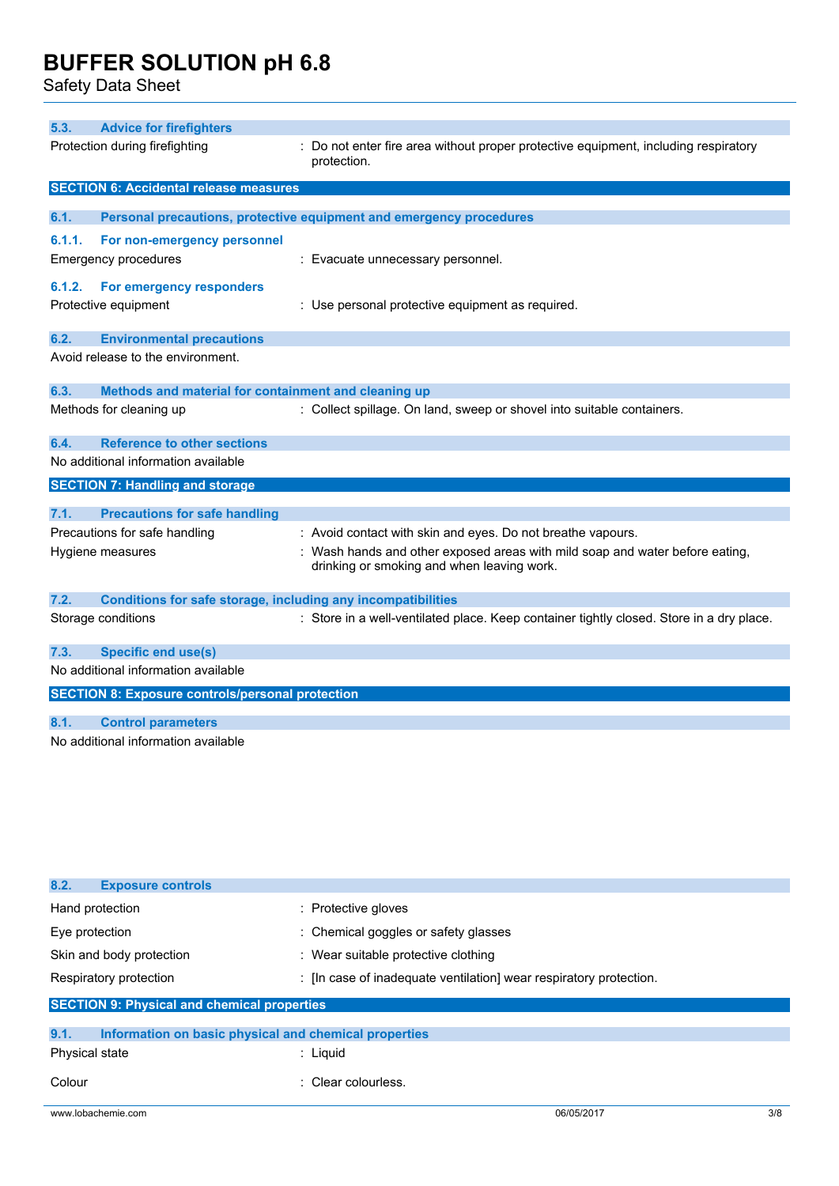Safety Data Sheet

| 5.3.   | <b>Advice for firefighters</b>                                      |                                                                                                                            |
|--------|---------------------------------------------------------------------|----------------------------------------------------------------------------------------------------------------------------|
|        | Protection during firefighting                                      | : Do not enter fire area without proper protective equipment, including respiratory<br>protection.                         |
|        | <b>SECTION 6: Accidental release measures</b>                       |                                                                                                                            |
| 6.1.   |                                                                     | Personal precautions, protective equipment and emergency procedures                                                        |
| 6.1.1. |                                                                     |                                                                                                                            |
|        | For non-emergency personnel<br>Emergency procedures                 | : Evacuate unnecessary personnel.                                                                                          |
|        |                                                                     |                                                                                                                            |
| 6.1.2. | For emergency responders                                            |                                                                                                                            |
|        | Protective equipment                                                | : Use personal protective equipment as required.                                                                           |
| 6.2.   | <b>Environmental precautions</b>                                    |                                                                                                                            |
|        | Avoid release to the environment.                                   |                                                                                                                            |
|        |                                                                     |                                                                                                                            |
| 6.3.   | Methods and material for containment and cleaning up                |                                                                                                                            |
|        | Methods for cleaning up                                             | : Collect spillage. On land, sweep or shovel into suitable containers.                                                     |
| 6.4.   | <b>Reference to other sections</b>                                  |                                                                                                                            |
|        | No additional information available                                 |                                                                                                                            |
|        | <b>SECTION 7: Handling and storage</b>                              |                                                                                                                            |
| 7.1.   | <b>Precautions for safe handling</b>                                |                                                                                                                            |
|        | Precautions for safe handling                                       | : Avoid contact with skin and eyes. Do not breathe vapours.                                                                |
|        | Hygiene measures                                                    | : Wash hands and other exposed areas with mild soap and water before eating,<br>drinking or smoking and when leaving work. |
| 7.2.   | <b>Conditions for safe storage, including any incompatibilities</b> |                                                                                                                            |
|        | Storage conditions                                                  | : Store in a well-ventilated place. Keep container tightly closed. Store in a dry place.                                   |
| 7.3.   | <b>Specific end use(s)</b>                                          |                                                                                                                            |
|        | No additional information available                                 |                                                                                                                            |
|        | <b>SECTION 8: Exposure controls/personal protection</b>             |                                                                                                                            |
|        |                                                                     |                                                                                                                            |
| 8.1.   | <b>Control parameters</b>                                           |                                                                                                                            |
|        | No additional information available                                 |                                                                                                                            |

| 8.2.<br><b>Exposure controls</b>                              |                                                                    |  |
|---------------------------------------------------------------|--------------------------------------------------------------------|--|
| Hand protection                                               | : Protective gloves                                                |  |
| Eye protection                                                | : Chemical goggles or safety glasses                               |  |
| Skin and body protection                                      | : Wear suitable protective clothing                                |  |
| Respiratory protection                                        | : [In case of inadequate ventilation] wear respiratory protection. |  |
| <b>SECTION 9: Physical and chemical properties</b>            |                                                                    |  |
| 9.1.<br>Information on basic physical and chemical properties |                                                                    |  |
| <b>Physical state</b>                                         | $:$ Liguid                                                         |  |
| Colour                                                        | : Clear colourless.                                                |  |

www.lobachemie.com 06/05/2017 3/8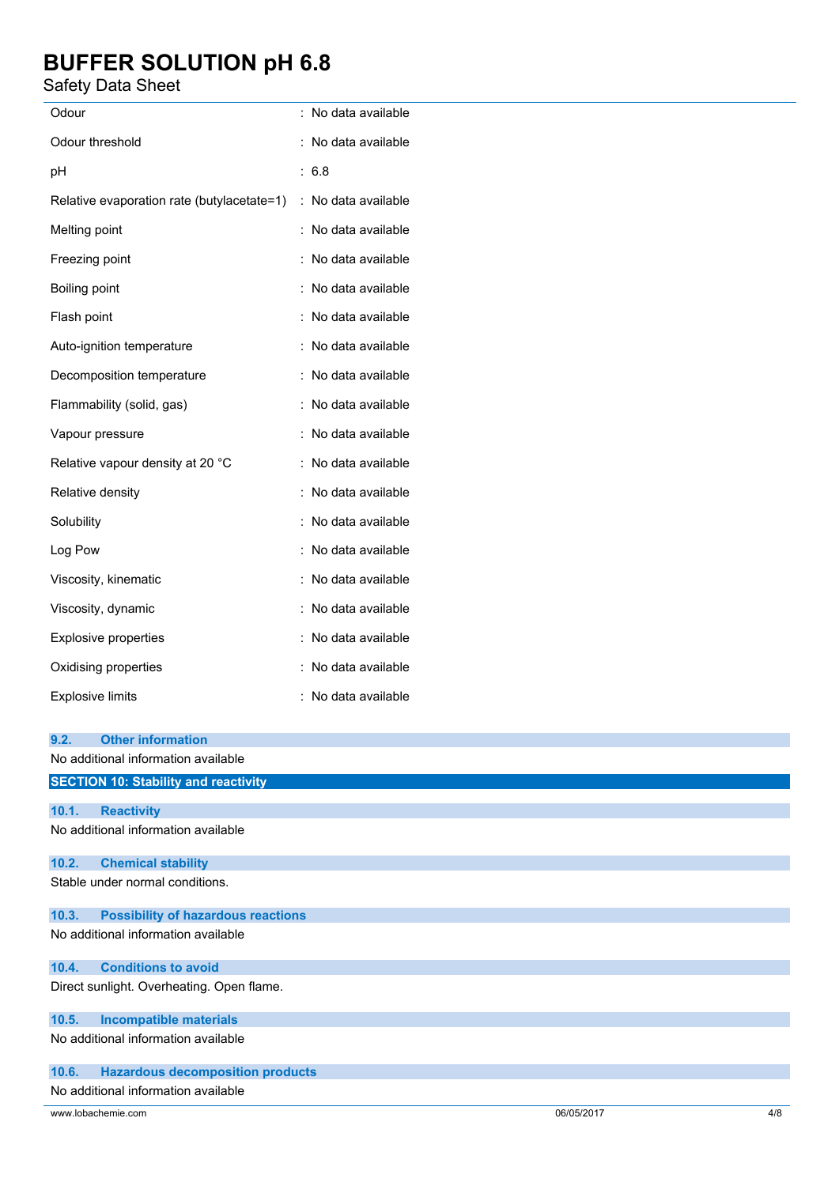### Safety Data Sheet

| Odour                                      | : No data available |
|--------------------------------------------|---------------------|
| Odour threshold                            | : No data available |
| pH                                         | : 6.8               |
| Relative evaporation rate (butylacetate=1) | : No data available |
| Melting point                              | : No data available |
| Freezing point                             | : No data available |
| Boiling point                              | : No data available |
| Flash point                                | : No data available |
| Auto-ignition temperature                  | : No data available |
| Decomposition temperature                  | : No data available |
| Flammability (solid, gas)                  | : No data available |
| Vapour pressure                            | : No data available |
| Relative vapour density at 20 °C           | : No data available |
| Relative density                           | : No data available |
| Solubility                                 | : No data available |
| Log Pow                                    | : No data available |
| Viscosity, kinematic                       | : No data available |
| Viscosity, dynamic                         | : No data available |
| Explosive properties                       | : No data available |
| Oxidising properties                       | No data available   |
| <b>Explosive limits</b>                    | : No data available |

| 9.2.  | <b>Other information</b>                    |  |     |
|-------|---------------------------------------------|--|-----|
|       | No additional information available         |  |     |
|       | <b>SECTION 10: Stability and reactivity</b> |  |     |
|       |                                             |  |     |
| 10.1. | <b>Reactivity</b>                           |  |     |
|       | No additional information available         |  |     |
| 10.2. | <b>Chemical stability</b>                   |  |     |
|       | Stable under normal conditions.             |  |     |
| 10.3. | <b>Possibility of hazardous reactions</b>   |  |     |
|       | No additional information available         |  |     |
| 10.4. | <b>Conditions to avoid</b>                  |  |     |
|       | Direct sunlight. Overheating. Open flame.   |  |     |
| 10.5. | <b>Incompatible materials</b>               |  |     |
|       | No additional information available         |  |     |
| 10.6. | <b>Hazardous decomposition products</b>     |  |     |
|       | No additional information available         |  |     |
|       | www.lobachemie.com<br>06/05/2017            |  | 4/8 |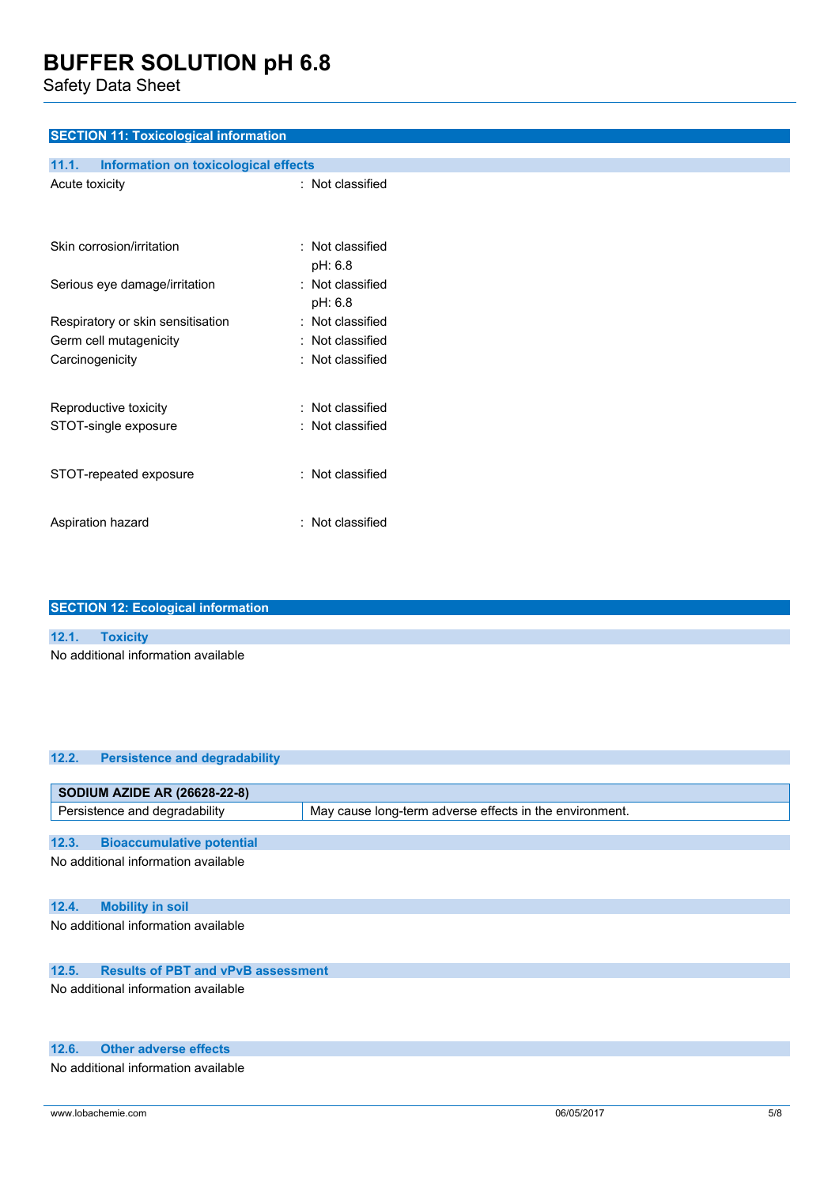Safety Data Sheet

#### **SECTION 11: Toxicological information**

| Information on toxicological effects<br>11.1. |                                 |
|-----------------------------------------------|---------------------------------|
| Acute toxicity                                | $:$ Not classified              |
| Skin corrosion/irritation                     | $\pm$ Not classified<br>pH: 6.8 |
| Serious eye damage/irritation                 | $:$ Not classified<br>pH: 6.8   |
| Respiratory or skin sensitisation             | $:$ Not classified              |
| Germ cell mutagenicity                        | $\pm$ Not classified            |
| Carcinogenicity                               | $\pm$ Not classified            |
| Reproductive toxicity                         | : Not classified                |
| STOT-single exposure                          | $\pm$ Not classified            |
| STOT-repeated exposure                        | $:$ Not classified              |
| Aspiration hazard                             | $:$ Not classified              |

| <b>SECTION 12: Ecological information</b> |                                     |  |
|-------------------------------------------|-------------------------------------|--|
|                                           |                                     |  |
|                                           | 12.1. Toxicity                      |  |
|                                           | No additional information available |  |

| 12.2. | <b>Persistence and degradability</b>      |                                                         |  |
|-------|-------------------------------------------|---------------------------------------------------------|--|
|       |                                           |                                                         |  |
|       | <b>SODIUM AZIDE AR (26628-22-8)</b>       |                                                         |  |
|       | Persistence and degradability             | May cause long-term adverse effects in the environment. |  |
|       |                                           |                                                         |  |
| 12.3. | <b>Bioaccumulative potential</b>          |                                                         |  |
|       | No additional information available       |                                                         |  |
|       |                                           |                                                         |  |
|       |                                           |                                                         |  |
| 12.4. | <b>Mobility in soil</b>                   |                                                         |  |
|       | No additional information available       |                                                         |  |
|       |                                           |                                                         |  |
|       |                                           |                                                         |  |
| 12.5. | <b>Results of PBT and vPvB assessment</b> |                                                         |  |
|       | No additional information available       |                                                         |  |
|       |                                           |                                                         |  |
|       |                                           |                                                         |  |

#### **12.6. Other adverse effects**

No additional information available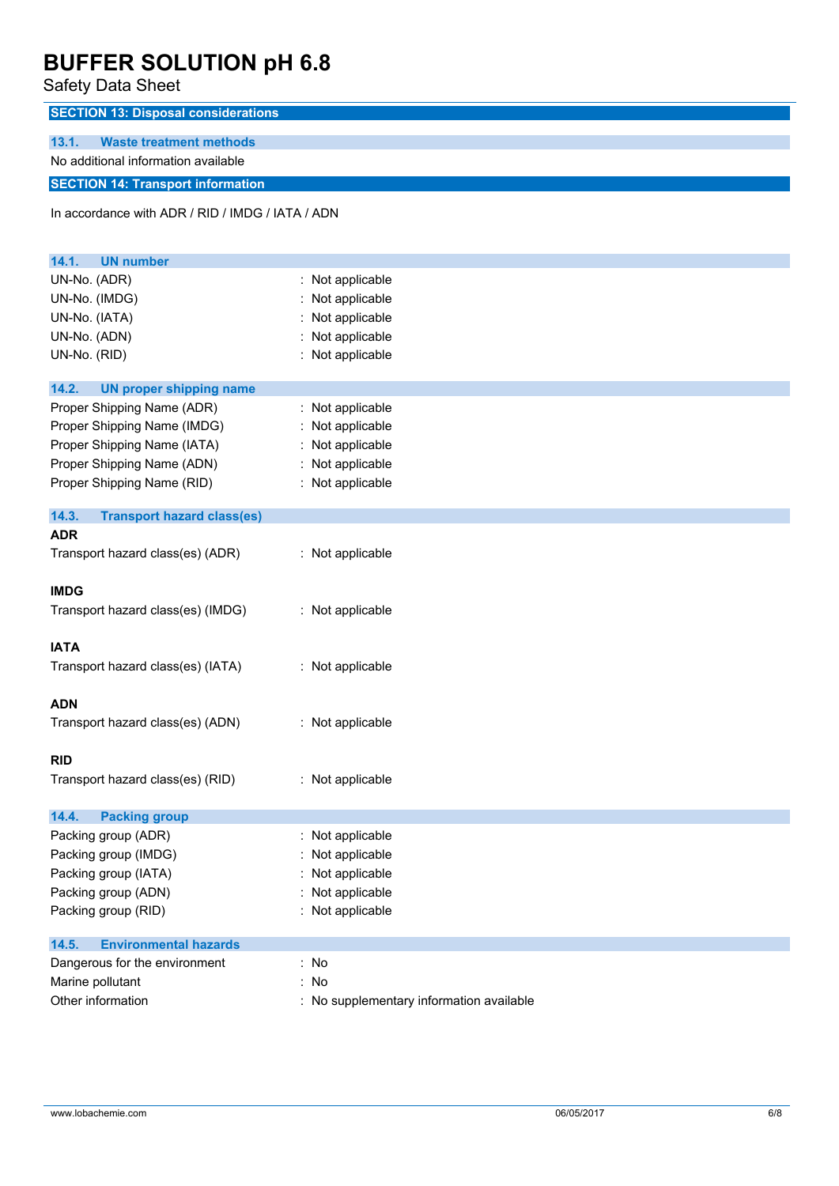Safety Data Sheet

| odicty Data Officer                              |                  |
|--------------------------------------------------|------------------|
| <b>SECTION 13: Disposal considerations</b>       |                  |
| 13.1.<br><b>Waste treatment methods</b>          |                  |
| No additional information available              |                  |
| <b>SECTION 14: Transport information</b>         |                  |
|                                                  |                  |
| In accordance with ADR / RID / IMDG / IATA / ADN |                  |
|                                                  |                  |
| 14.1.<br><b>UN number</b>                        |                  |
| UN-No. (ADR)                                     | : Not applicable |
| UN-No. (IMDG)                                    | : Not applicable |
| UN-No. (IATA)                                    | Not applicable   |
| UN-No. (ADN)                                     | : Not applicable |
| UN-No. (RID)                                     | : Not applicable |
| 14.2.<br><b>UN proper shipping name</b>          |                  |
| Proper Shipping Name (ADR)                       | : Not applicable |
| Proper Shipping Name (IMDG)                      | Not applicable   |
| Proper Shipping Name (IATA)                      | : Not applicable |
| Proper Shipping Name (ADN)                       | : Not applicable |
| Proper Shipping Name (RID)                       | : Not applicable |
|                                                  |                  |
| 14.3.<br><b>Transport hazard class(es)</b>       |                  |
| <b>ADR</b>                                       |                  |
| Transport hazard class(es) (ADR)                 | : Not applicable |
|                                                  |                  |
| <b>IMDG</b>                                      |                  |
| Transport hazard class(es) (IMDG)                | : Not applicable |
| <b>IATA</b>                                      |                  |
| Transport hazard class(es) (IATA)                | : Not applicable |
|                                                  |                  |
| <b>ADN</b>                                       |                  |
| Transport hazard class(es) (ADN)                 | : Not applicable |
|                                                  |                  |
| <b>RID</b>                                       |                  |
| Transport hazard class(es) (RID)                 | : Not applicable |
| 14.4.<br><b>Packing group</b>                    |                  |
| Packing group (ADR)                              | : Not applicable |
| Packing group (IMDG)                             | Not applicable   |
| Packing group (IATA)                             | : Not applicable |
|                                                  |                  |
| Packing group (ADN)                              | Not applicable   |
| Packing group (RID)                              | : Not applicable |
| <b>Environmental hazards</b><br>14.5.            |                  |
| Dangerous for the environment                    | : No             |
| Marine pollutant                                 | : No             |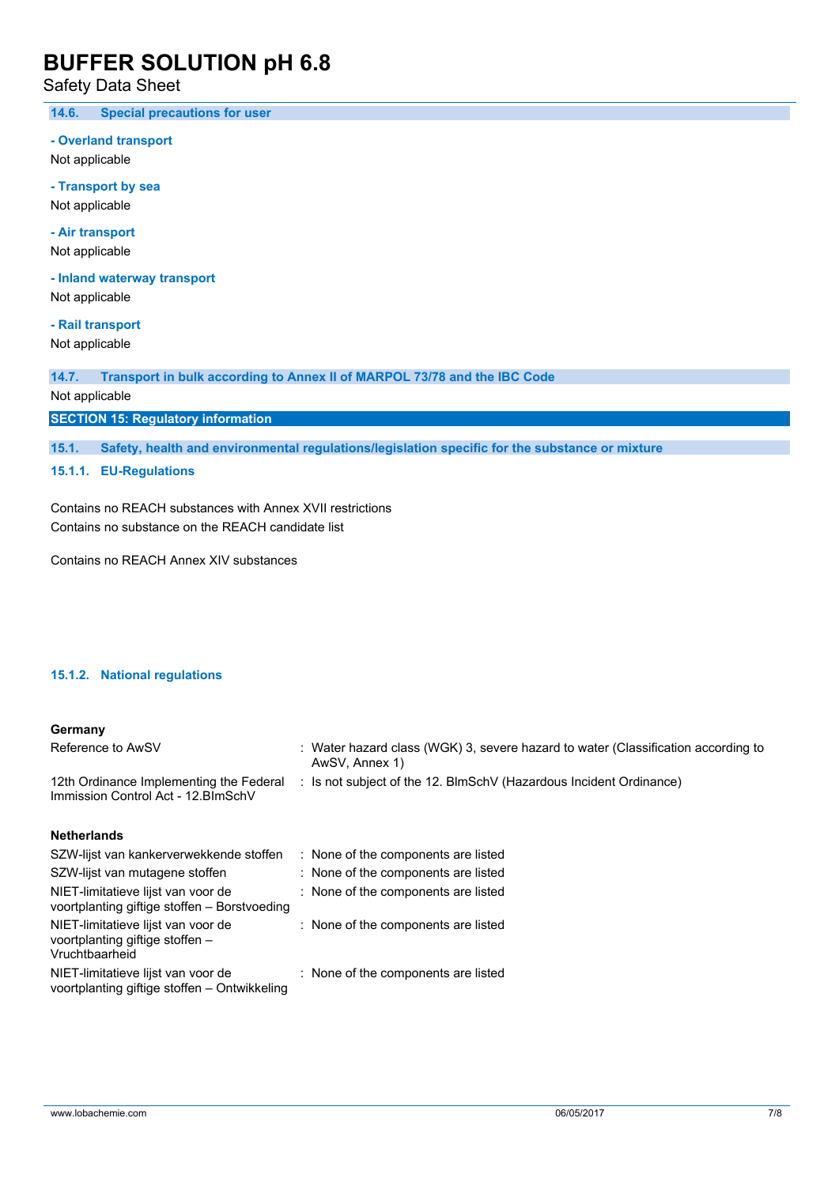Safety Data Sheet

**14.6. Special precautions for user**

**- Overland transport**

Not applicable

**- Transport by sea** Not applicable

**- Air transport**

Not applicable

**- Inland waterway transport** Not applicable

**- Rail transport** Not applicable

**14.7. Transport in bulk according to Annex II of MARPOL 73/78 and the IBC Code** Not applicable

**SECTION 15: Regulatory information**

**15.1. Safety, health and environmental regulations/legislation specific for the substance or mixture**

**15.1.1. EU-Regulations**

Contains no REACH substances with Annex XVII restrictions Contains no substance on the REACH candidate list

Contains no REACH Annex XIV substances

#### **15.1.2. National regulations**

#### **Germany**

| Reference to AwSV                                                                  | : Water hazard class (WGK) 3, severe hazard to water (Classification according to<br>AwSV, Annex 1) |
|------------------------------------------------------------------------------------|-----------------------------------------------------------------------------------------------------|
| 12th Ordinance Implementing the Federal<br>Immission Control Act - 12. BlmSchV     | : Is not subject of the 12. BlmSchV (Hazardous Incident Ordinance)                                  |
| <b>Netherlands</b>                                                                 |                                                                                                     |
| SZW-lijst van kankerverwekkende stoffen                                            | : None of the components are listed                                                                 |
| SZW-lijst van mutagene stoffen                                                     | : None of the components are listed                                                                 |
| NIET-limitatieve lijst van voor de<br>voortplanting giftige stoffen - Borstvoeding | : None of the components are listed                                                                 |

| NIET-limitatieve lijst van voor de<br>voortplanting giftige stoffen $-$ | : None of the components are listed |
|-------------------------------------------------------------------------|-------------------------------------|
| Vruchtbaarheid                                                          |                                     |
| NIET-limitatieve lijst van voor de                                      | : None of the components are listed |

NIET-limitatieve lijst van voor de voortplanting giftige stoffen – Ontwikkeling